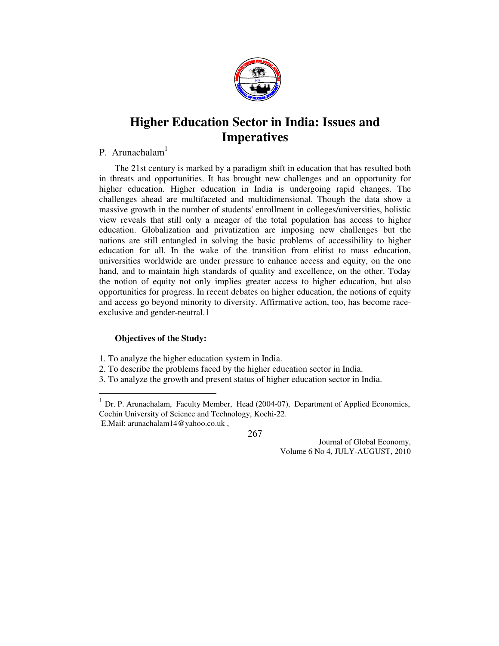

# **Higher Education Sector in India: Issues and Imperatives**

# P. Arunachalam<sup>1</sup>

 The 21st century is marked by a paradigm shift in education that has resulted both in threats and opportunities. It has brought new challenges and an opportunity for higher education. Higher education in India is undergoing rapid changes. The challenges ahead are multifaceted and multidimensional. Though the data show a massive growth in the number of students' enrollment in colleges/universities, holistic view reveals that still only a meager of the total population has access to higher education. Globalization and privatization are imposing new challenges but the nations are still entangled in solving the basic problems of accessibility to higher education for all. In the wake of the transition from elitist to mass education, universities worldwide are under pressure to enhance access and equity, on the one hand, and to maintain high standards of quality and excellence, on the other. Today the notion of equity not only implies greater access to higher education, but also opportunities for progress. In recent debates on higher education, the notions of equity and access go beyond minority to diversity. Affirmative action, too, has become raceexclusive and gender-neutral.1

# **Objectives of the Study:**

 $\overline{a}$ 

- 1. To analyze the higher education system in India.
- 2. To describe the problems faced by the higher education sector in India.
- 3. To analyze the growth and present status of higher education sector in India.

<sup>&</sup>lt;sup>1</sup> Dr. P. Arunachalam, Faculty Member, Head (2004-07), Department of Applied Economics, Cochin University of Science and Technology, Kochi-22. E.Mail: arunachalam14@yahoo.co.uk ,

<sup>267</sup>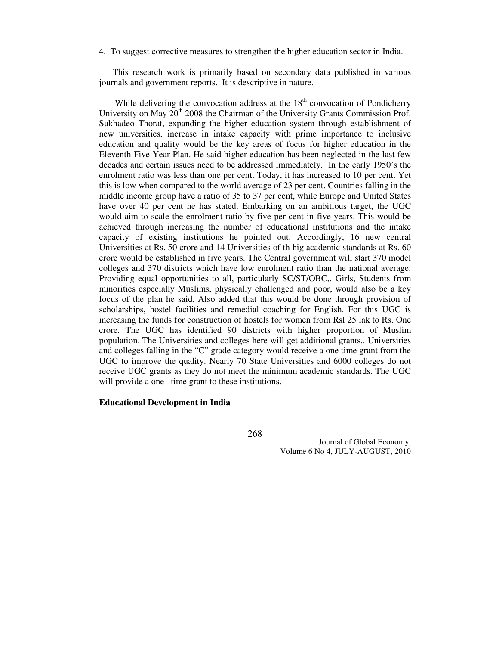4. To suggest corrective measures to strengthen the higher education sector in India.

 This research work is primarily based on secondary data published in various journals and government reports. It is descriptive in nature.

While delivering the convocation address at the  $18<sup>th</sup>$  convocation of Pondicherry University on May 20<sup>th</sup> 2008 the Chairman of the University Grants Commission Prof. Sukhadeo Thorat, expanding the higher education system through establishment of new universities, increase in intake capacity with prime importance to inclusive education and quality would be the key areas of focus for higher education in the Eleventh Five Year Plan. He said higher education has been neglected in the last few decades and certain issues need to be addressed immediately. In the early 1950's the enrolment ratio was less than one per cent. Today, it has increased to 10 per cent. Yet this is low when compared to the world average of 23 per cent. Countries falling in the middle income group have a ratio of 35 to 37 per cent, while Europe and United States have over 40 per cent he has stated. Embarking on an ambitious target, the UGC would aim to scale the enrolment ratio by five per cent in five years. This would be achieved through increasing the number of educational institutions and the intake capacity of existing institutions he pointed out. Accordingly, 16 new central Universities at Rs. 50 crore and 14 Universities of th hig academic standards at Rs. 60 crore would be established in five years. The Central government will start 370 model colleges and 370 districts which have low enrolment ratio than the national average. Providing equal opportunities to all, particularly SC/ST/OBC,. Girls, Students from minorities especially Muslims, physically challenged and poor, would also be a key focus of the plan he said. Also added that this would be done through provision of scholarships, hostel facilities and remedial coaching for English. For this UGC is increasing the funds for construction of hostels for women from Rsl 25 lak to Rs. One crore. The UGC has identified 90 districts with higher proportion of Muslim population. The Universities and colleges here will get additional grants.. Universities and colleges falling in the "C" grade category would receive a one time grant from the UGC to improve the quality. Nearly 70 State Universities and 6000 colleges do not receive UGC grants as they do not meet the minimum academic standards. The UGC will provide a one –time grant to these institutions.

#### **Educational Development in India**

268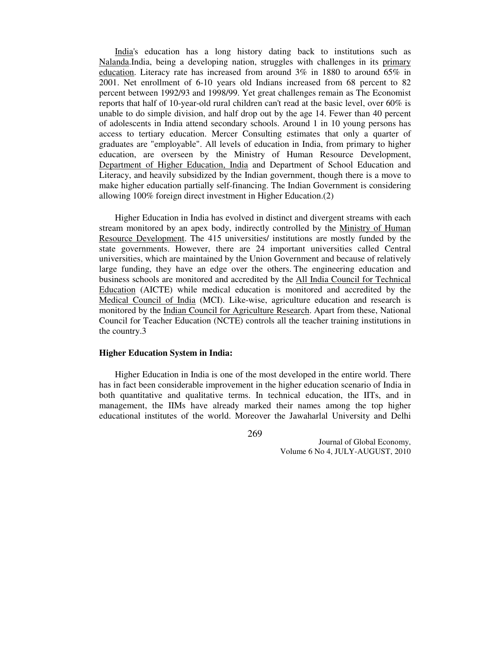India's education has a long history dating back to institutions such as Nalanda.India, being a developing nation, struggles with challenges in its primary education. Literacy rate has increased from around 3% in 1880 to around 65% in 2001. Net enrollment of 6-10 years old Indians increased from 68 percent to 82 percent between 1992/93 and 1998/99. Yet great challenges remain as The Economist reports that half of 10-year-old rural children can't read at the basic level, over 60% is unable to do simple division, and half drop out by the age 14. Fewer than 40 percent of adolescents in India attend secondary schools. Around 1 in 10 young persons has access to tertiary education. Mercer Consulting estimates that only a quarter of graduates are "employable". All levels of education in India, from primary to higher education, are overseen by the Ministry of Human Resource Development, Department of Higher Education, India and Department of School Education and Literacy, and heavily subsidized by the Indian government, though there is a move to make higher education partially self-financing. The Indian Government is considering allowing 100% foreign direct investment in Higher Education.(2)

 Higher Education in India has evolved in distinct and divergent streams with each stream monitored by an apex body, indirectly controlled by the Ministry of Human Resource Development. The 415 universities/ institutions are mostly funded by the state governments. However, there are 24 important universities called Central universities, which are maintained by the Union Government and because of relatively large funding, they have an edge over the others. The engineering education and business schools are monitored and accredited by the All India Council for Technical Education (AICTE) while medical education is monitored and accredited by the Medical Council of India (MCI). Like-wise, agriculture education and research is monitored by the Indian Council for Agriculture Research. Apart from these, National Council for Teacher Education (NCTE) controls all the teacher training institutions in the country.3

#### **Higher Education System in India:**

Higher Education in India is one of the most developed in the entire world. There has in fact been considerable improvement in the higher education scenario of India in both quantitative and qualitative terms. In technical education, the IITs, and in management, the IIMs have already marked their names among the top higher educational institutes of the world. Moreover the Jawaharlal University and Delhi

269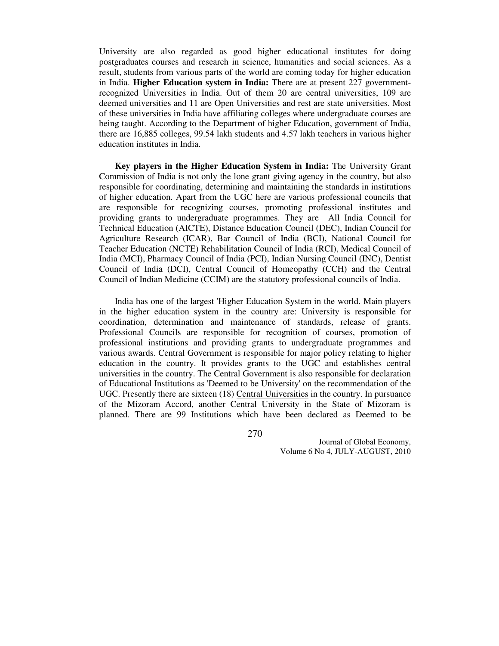University are also regarded as good higher educational institutes for doing postgraduates courses and research in science, humanities and social sciences. As a result, students from various parts of the world are coming today for higher education in India. **Higher Education system in India:** There are at present 227 governmentrecognized Universities in India. Out of them 20 are central universities, 109 are deemed universities and 11 are Open Universities and rest are state universities. Most of these universities in India have affiliating colleges where undergraduate courses are being taught. According to the Department of higher Education, government of India, there are 16,885 colleges, 99.54 lakh students and 4.57 lakh teachers in various higher education institutes in India.

 **Key players in the Higher Education System in India:** The University Grant Commission of India is not only the lone grant giving agency in the country, but also responsible for coordinating, determining and maintaining the standards in institutions of higher education. Apart from the UGC here are various professional councils that are responsible for recognizing courses, promoting professional institutes and providing grants to undergraduate programmes. They are All India Council for Technical Education (AICTE), Distance Education Council (DEC), Indian Council for Agriculture Research (ICAR), Bar Council of India (BCI), National Council for Teacher Education (NCTE) Rehabilitation Council of India (RCI), Medical Council of India (MCI), Pharmacy Council of India (PCI), Indian Nursing Council (INC), Dentist Council of India (DCI), Central Council of Homeopathy (CCH) and the Central Council of Indian Medicine (CCIM) are the statutory professional councils of India.

 India has one of the largest 'Higher Education System in the world. Main players in the higher education system in the country are: University is responsible for coordination, determination and maintenance of standards, release of grants. Professional Councils are responsible for recognition of courses, promotion of professional institutions and providing grants to undergraduate programmes and various awards. Central Government is responsible for major policy relating to higher education in the country. It provides grants to the UGC and establishes central universities in the country. The Central Government is also responsible for declaration of Educational Institutions as 'Deemed to be University' on the recommendation of the UGC. Presently there are sixteen (18) Central Universities in the country. In pursuance of the Mizoram Accord, another Central University in the State of Mizoram is planned. There are 99 Institutions which have been declared as Deemed to be

270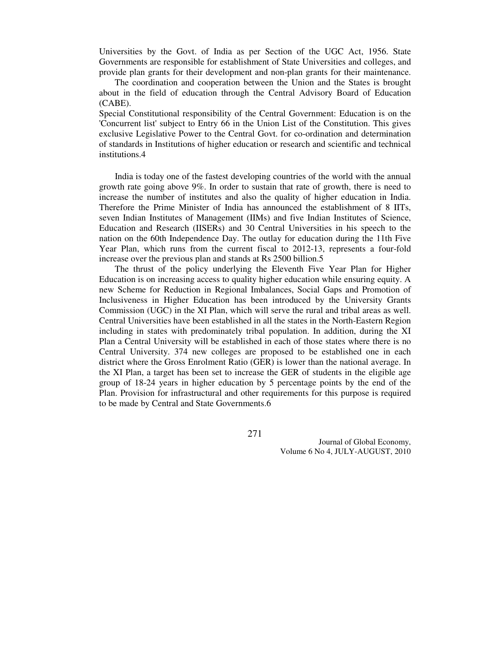Universities by the Govt. of India as per Section of the UGC Act, 1956. State Governments are responsible for establishment of State Universities and colleges, and provide plan grants for their development and non-plan grants for their maintenance.

 The coordination and cooperation between the Union and the States is brought about in the field of education through the Central Advisory Board of Education (CABE).

Special Constitutional responsibility of the Central Government: Education is on the 'Concurrent list' subject to Entry 66 in the Union List of the Constitution. This gives exclusive Legislative Power to the Central Govt. for co-ordination and determination of standards in Institutions of higher education or research and scientific and technical institutions.4

 India is today one of the fastest developing countries of the world with the annual growth rate going above 9%. In order to sustain that rate of growth, there is need to increase the number of institutes and also the quality of higher education in India. Therefore the Prime Minister of India has announced the establishment of 8 IITs, seven Indian Institutes of Management (IIMs) and five Indian Institutes of Science, Education and Research (IISERs) and 30 Central Universities in his speech to the nation on the 60th Independence Day. The outlay for education during the 11th Five Year Plan, which runs from the current fiscal to 2012-13, represents a four-fold increase over the previous plan and stands at Rs 2500 billion.5

 The thrust of the policy underlying the Eleventh Five Year Plan for Higher Education is on increasing access to quality higher education while ensuring equity. A new Scheme for Reduction in Regional Imbalances, Social Gaps and Promotion of Inclusiveness in Higher Education has been introduced by the University Grants Commission (UGC) in the XI Plan, which will serve the rural and tribal areas as well. Central Universities have been established in all the states in the North-Eastern Region including in states with predominately tribal population. In addition, during the XI Plan a Central University will be established in each of those states where there is no Central University. 374 new colleges are proposed to be established one in each district where the Gross Enrolment Ratio (GER) is lower than the national average. In the XI Plan, a target has been set to increase the GER of students in the eligible age group of 18-24 years in higher education by 5 percentage points by the end of the Plan. Provision for infrastructural and other requirements for this purpose is required to be made by Central and State Governments.6

271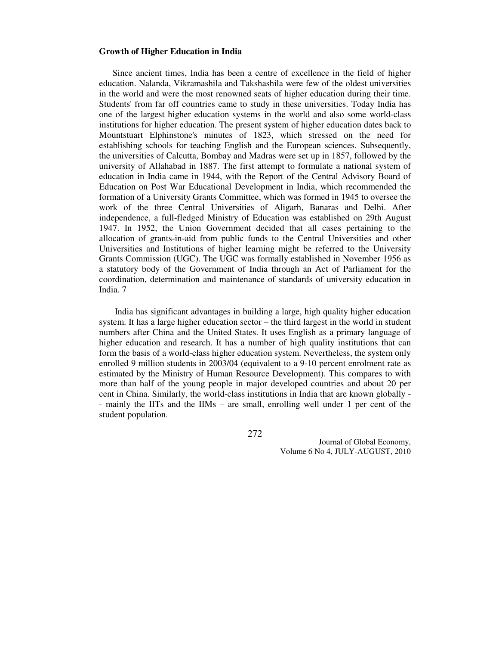#### **Growth of Higher Education in India**

 Since ancient times, India has been a centre of excellence in the field of higher education. Nalanda, Vikramashila and Takshashila were few of the oldest universities in the world and were the most renowned seats of higher education during their time. Students' from far off countries came to study in these universities. Today India has one of the largest higher education systems in the world and also some world-class institutions for higher education. The present system of higher education dates back to Mountstuart Elphinstone's minutes of 1823, which stressed on the need for establishing schools for teaching English and the European sciences. Subsequently, the universities of Calcutta, Bombay and Madras were set up in 1857, followed by the university of Allahabad in 1887. The first attempt to formulate a national system of education in India came in 1944, with the Report of the Central Advisory Board of Education on Post War Educational Development in India, which recommended the formation of a University Grants Committee, which was formed in 1945 to oversee the work of the three Central Universities of Aligarh, Banaras and Delhi. After independence, a full-fledged Ministry of Education was established on 29th August 1947. In 1952, the Union Government decided that all cases pertaining to the allocation of grants-in-aid from public funds to the Central Universities and other Universities and Institutions of higher learning might be referred to the University Grants Commission (UGC). The UGC was formally established in November 1956 as a statutory body of the Government of India through an Act of Parliament for the coordination, determination and maintenance of standards of university education in India. 7

 India has significant advantages in building a large, high quality higher education system. It has a large higher education sector – the third largest in the world in student numbers after China and the United States. It uses English as a primary language of higher education and research. It has a number of high quality institutions that can form the basis of a world-class higher education system. Nevertheless, the system only enrolled 9 million students in 2003/04 (equivalent to a 9-10 percent enrolment rate as estimated by the Ministry of Human Resource Development). This compares to with more than half of the young people in major developed countries and about 20 per cent in China. Similarly, the world-class institutions in India that are known globally - - mainly the IITs and the IIMs – are small, enrolling well under 1 per cent of the student population.

272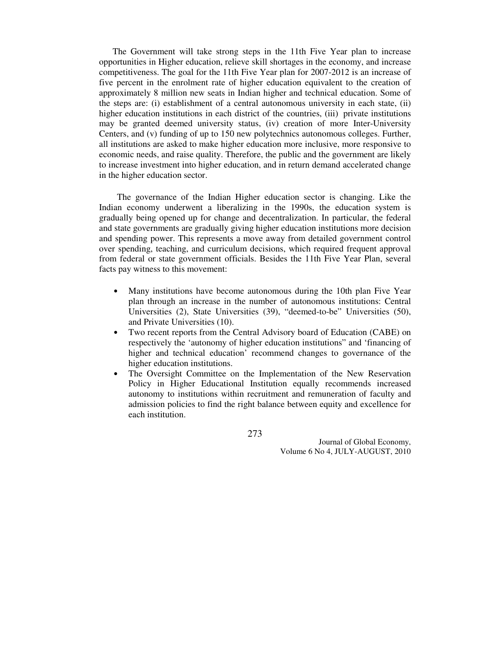The Government will take strong steps in the 11th Five Year plan to increase opportunities in Higher education, relieve skill shortages in the economy, and increase competitiveness. The goal for the 11th Five Year plan for 2007-2012 is an increase of five percent in the enrolment rate of higher education equivalent to the creation of approximately 8 million new seats in Indian higher and technical education. Some of the steps are: (i) establishment of a central autonomous university in each state, (ii) higher education institutions in each district of the countries, (iii) private institutions may be granted deemed university status, (iv) creation of more Inter-University Centers, and (v) funding of up to 150 new polytechnics autonomous colleges. Further, all institutions are asked to make higher education more inclusive, more responsive to economic needs, and raise quality. Therefore, the public and the government are likely to increase investment into higher education, and in return demand accelerated change in the higher education sector.

 The governance of the Indian Higher education sector is changing. Like the Indian economy underwent a liberalizing in the 1990s, the education system is gradually being opened up for change and decentralization. In particular, the federal and state governments are gradually giving higher education institutions more decision and spending power. This represents a move away from detailed government control over spending, teaching, and curriculum decisions, which required frequent approval from federal or state government officials. Besides the 11th Five Year Plan, several facts pay witness to this movement:

- Many institutions have become autonomous during the 10th plan Five Year plan through an increase in the number of autonomous institutions: Central Universities (2), State Universities (39), "deemed-to-be" Universities (50), and Private Universities (10).
- Two recent reports from the Central Advisory board of Education (CABE) on respectively the 'autonomy of higher education institutions" and 'financing of higher and technical education' recommend changes to governance of the higher education institutions.
- The Oversight Committee on the Implementation of the New Reservation Policy in Higher Educational Institution equally recommends increased autonomy to institutions within recruitment and remuneration of faculty and admission policies to find the right balance between equity and excellence for each institution.

273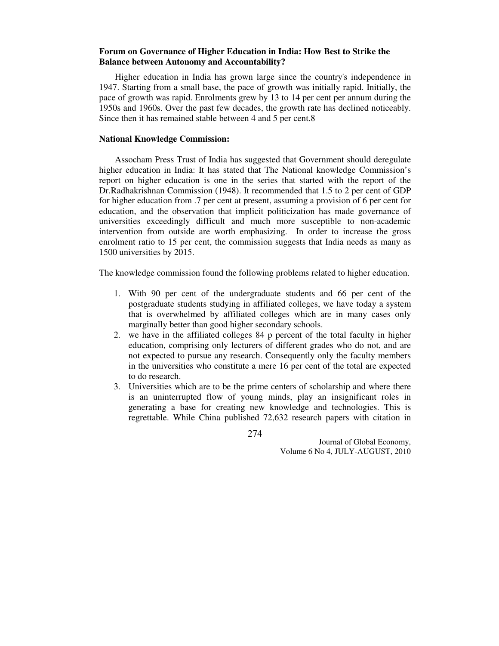### **Forum on Governance of Higher Education in India: How Best to Strike the Balance between Autonomy and Accountability?**

 Higher education in India has grown large since the country's independence in 1947. Starting from a small base, the pace of growth was initially rapid. Initially, the pace of growth was rapid. Enrolments grew by 13 to 14 per cent per annum during the 1950s and 1960s. Over the past few decades, the growth rate has declined noticeably. Since then it has remained stable between 4 and 5 per cent.8

# **National Knowledge Commission:**

 Assocham Press Trust of India has suggested that Government should deregulate higher education in India: It has stated that The National knowledge Commission's report on higher education is one in the series that started with the report of the Dr.Radhakrishnan Commission (1948). It recommended that 1.5 to 2 per cent of GDP for higher education from .7 per cent at present, assuming a provision of 6 per cent for education, and the observation that implicit politicization has made governance of universities exceedingly difficult and much more susceptible to non-academic intervention from outside are worth emphasizing. In order to increase the gross enrolment ratio to 15 per cent, the commission suggests that India needs as many as 1500 universities by 2015.

The knowledge commission found the following problems related to higher education.

- 1. With 90 per cent of the undergraduate students and 66 per cent of the postgraduate students studying in affiliated colleges, we have today a system that is overwhelmed by affiliated colleges which are in many cases only marginally better than good higher secondary schools.
- 2. we have in the affiliated colleges 84 p percent of the total faculty in higher education, comprising only lecturers of different grades who do not, and are not expected to pursue any research. Consequently only the faculty members in the universities who constitute a mere 16 per cent of the total are expected to do research.
- 3. Universities which are to be the prime centers of scholarship and where there is an uninterrupted flow of young minds, play an insignificant roles in generating a base for creating new knowledge and technologies. This is regrettable. While China published 72,632 research papers with citation in

274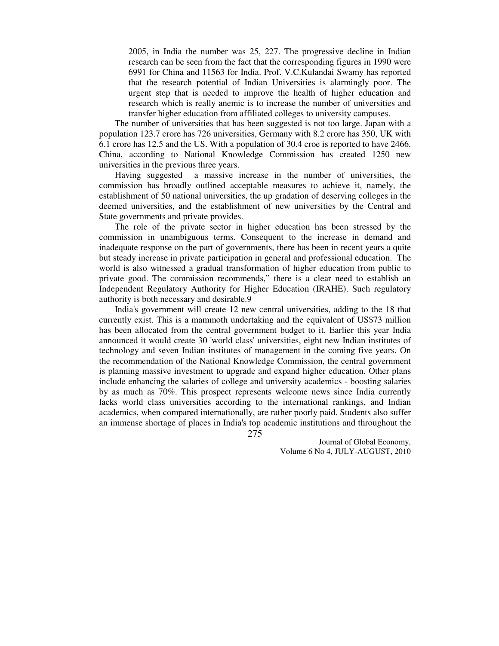2005, in India the number was 25, 227. The progressive decline in Indian research can be seen from the fact that the corresponding figures in 1990 were 6991 for China and 11563 for India. Prof. V.C.Kulandai Swamy has reported that the research potential of Indian Universities is alarmingly poor. The urgent step that is needed to improve the health of higher education and research which is really anemic is to increase the number of universities and transfer higher education from affiliated colleges to university campuses.

 The number of universities that has been suggested is not too large. Japan with a population 123.7 crore has 726 universities, Germany with 8.2 crore has 350, UK with 6.1 crore has 12.5 and the US. With a population of 30.4 croe is reported to have 2466. China, according to National Knowledge Commission has created 1250 new universities in the previous three years.

 Having suggested a massive increase in the number of universities, the commission has broadly outlined acceptable measures to achieve it, namely, the establishment of 50 national universities, the up gradation of deserving colleges in the deemed universities, and the establishment of new universities by the Central and State governments and private provides.

 The role of the private sector in higher education has been stressed by the commission in unambiguous terms. Consequent to the increase in demand and inadequate response on the part of governments, there has been in recent years a quite but steady increase in private participation in general and professional education. The world is also witnessed a gradual transformation of higher education from public to private good. The commission recommends," there is a clear need to establish an Independent Regulatory Authority for Higher Education (IRAHE). Such regulatory authority is both necessary and desirable.9

 India's government will create 12 new central universities, adding to the 18 that currently exist. This is a mammoth undertaking and the equivalent of US\$73 million has been allocated from the central government budget to it. Earlier this year India announced it would create 30 'world class' universities, eight new Indian institutes of technology and seven Indian institutes of management in the coming five years. On the recommendation of the National Knowledge Commission, the central government is planning massive investment to upgrade and expand higher education. Other plans include enhancing the salaries of college and university academics - boosting salaries by as much as 70%. This prospect represents welcome news since India currently lacks world class universities according to the international rankings, and Indian academics, when compared internationally, are rather poorly paid. Students also suffer an immense shortage of places in India's top academic institutions and throughout the

275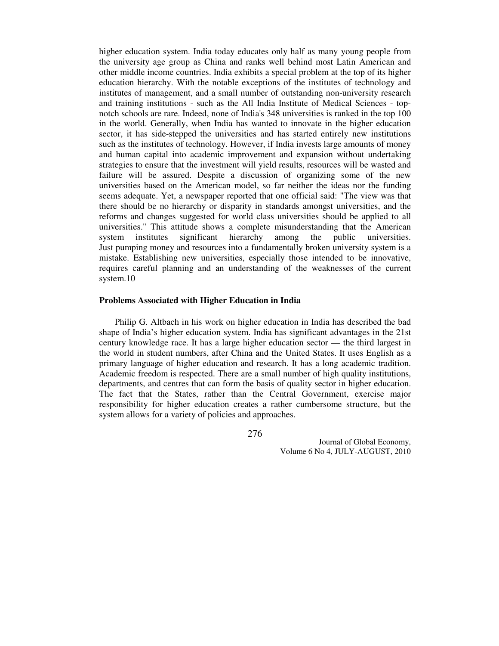higher education system. India today educates only half as many young people from the university age group as China and ranks well behind most Latin American and other middle income countries. India exhibits a special problem at the top of its higher education hierarchy. With the notable exceptions of the institutes of technology and institutes of management, and a small number of outstanding non-university research and training institutions - such as the All India Institute of Medical Sciences - topnotch schools are rare. Indeed, none of India's 348 universities is ranked in the top 100 in the world. Generally, when India has wanted to innovate in the higher education sector, it has side-stepped the universities and has started entirely new institutions such as the institutes of technology. However, if India invests large amounts of money and human capital into academic improvement and expansion without undertaking strategies to ensure that the investment will yield results, resources will be wasted and failure will be assured. Despite a discussion of organizing some of the new universities based on the American model, so far neither the ideas nor the funding seems adequate. Yet, a newspaper reported that one official said: "The view was that there should be no hierarchy or disparity in standards amongst universities, and the reforms and changes suggested for world class universities should be applied to all universities." This attitude shows a complete misunderstanding that the American system institutes significant hierarchy among the public universities. Just pumping money and resources into a fundamentally broken university system is a mistake. Establishing new universities, especially those intended to be innovative, requires careful planning and an understanding of the weaknesses of the current system.10

# **Problems Associated with Higher Education in India**

 Philip G. Altbach in his work on higher education in India has described the bad shape of India's higher education system. India has significant advantages in the 21st century knowledge race. It has a large higher education sector — the third largest in the world in student numbers, after China and the United States. It uses English as a primary language of higher education and research. It has a long academic tradition. Academic freedom is respected. There are a small number of high quality institutions, departments, and centres that can form the basis of quality sector in higher education. The fact that the States, rather than the Central Government, exercise major responsibility for higher education creates a rather cumbersome structure, but the system allows for a variety of policies and approaches.

276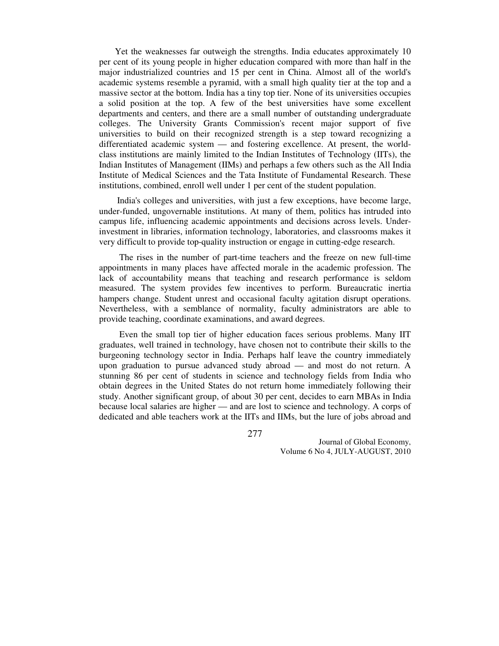Yet the weaknesses far outweigh the strengths. India educates approximately 10 per cent of its young people in higher education compared with more than half in the major industrialized countries and 15 per cent in China. Almost all of the world's academic systems resemble a pyramid, with a small high quality tier at the top and a massive sector at the bottom. India has a tiny top tier. None of its universities occupies a solid position at the top. A few of the best universities have some excellent departments and centers, and there are a small number of outstanding undergraduate colleges. The University Grants Commission's recent major support of five universities to build on their recognized strength is a step toward recognizing a differentiated academic system — and fostering excellence. At present, the worldclass institutions are mainly limited to the Indian Institutes of Technology (IITs), the Indian Institutes of Management (IIMs) and perhaps a few others such as the All India Institute of Medical Sciences and the Tata Institute of Fundamental Research. These institutions, combined, enroll well under 1 per cent of the student population.

 India's colleges and universities, with just a few exceptions, have become large, under-funded, ungovernable institutions. At many of them, politics has intruded into campus life, influencing academic appointments and decisions across levels. Underinvestment in libraries, information technology, laboratories, and classrooms makes it very difficult to provide top-quality instruction or engage in cutting-edge research.

 The rises in the number of part-time teachers and the freeze on new full-time appointments in many places have affected morale in the academic profession. The lack of accountability means that teaching and research performance is seldom measured. The system provides few incentives to perform. Bureaucratic inertia hampers change. Student unrest and occasional faculty agitation disrupt operations. Nevertheless, with a semblance of normality, faculty administrators are able to provide teaching, coordinate examinations, and award degrees.

 Even the small top tier of higher education faces serious problems. Many IIT graduates, well trained in technology, have chosen not to contribute their skills to the burgeoning technology sector in India. Perhaps half leave the country immediately upon graduation to pursue advanced study abroad — and most do not return. A stunning 86 per cent of students in science and technology fields from India who obtain degrees in the United States do not return home immediately following their study. Another significant group, of about 30 per cent, decides to earn MBAs in India because local salaries are higher — and are lost to science and technology. A corps of dedicated and able teachers work at the IITs and IIMs, but the lure of jobs abroad and

277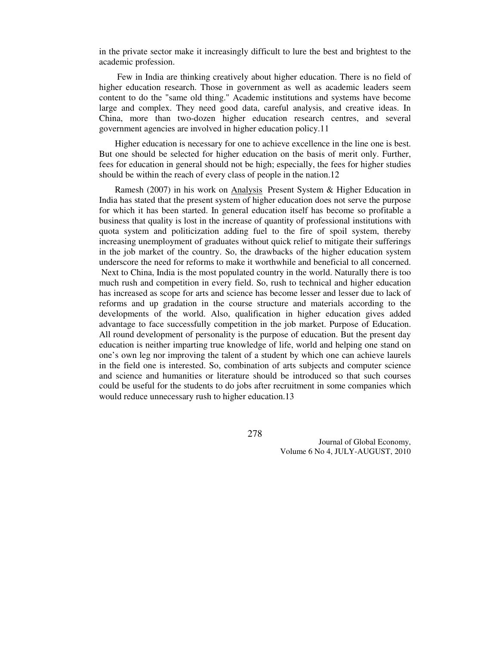in the private sector make it increasingly difficult to lure the best and brightest to the academic profession.

 Few in India are thinking creatively about higher education. There is no field of higher education research. Those in government as well as academic leaders seem content to do the "same old thing." Academic institutions and systems have become large and complex. They need good data, careful analysis, and creative ideas. In China, more than two-dozen higher education research centres, and several government agencies are involved in higher education policy.11

 Higher education is necessary for one to achieve excellence in the line one is best. But one should be selected for higher education on the basis of merit only. Further, fees for education in general should not be high; especially, the fees for higher studies should be within the reach of every class of people in the nation.12

Ramesh (2007) in his work on **Analysis** Present System & Higher Education in India has stated that the present system of higher education does not serve the purpose for which it has been started. In general education itself has become so profitable a business that quality is lost in the increase of quantity of professional institutions with quota system and politicization adding fuel to the fire of spoil system, thereby increasing unemployment of graduates without quick relief to mitigate their sufferings in the job market of the country. So, the drawbacks of the higher education system underscore the need for reforms to make it worthwhile and beneficial to all concerned. Next to China, India is the most populated country in the world. Naturally there is too much rush and competition in every field. So, rush to technical and higher education has increased as scope for arts and science has become lesser and lesser due to lack of reforms and up gradation in the course structure and materials according to the developments of the world. Also, qualification in higher education gives added advantage to face successfully competition in the job market. Purpose of Education. All round development of personality is the purpose of education. But the present day education is neither imparting true knowledge of life, world and helping one stand on one's own leg nor improving the talent of a student by which one can achieve laurels in the field one is interested. So, combination of arts subjects and computer science and science and humanities or literature should be introduced so that such courses could be useful for the students to do jobs after recruitment in some companies which would reduce unnecessary rush to higher education.13

278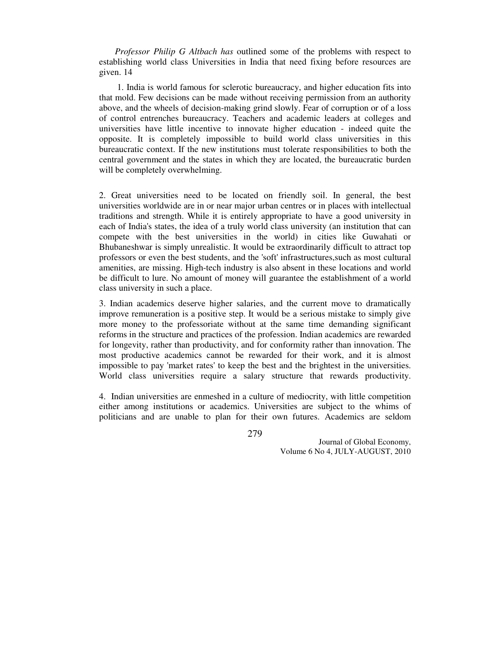*Professor Philip G Altbach has* outlined some of the problems with respect to establishing world class Universities in India that need fixing before resources are given. 14

 1. India is world famous for sclerotic bureaucracy, and higher education fits into that mold. Few decisions can be made without receiving permission from an authority above, and the wheels of decision-making grind slowly. Fear of corruption or of a loss of control entrenches bureaucracy. Teachers and academic leaders at colleges and universities have little incentive to innovate higher education - indeed quite the opposite. It is completely impossible to build world class universities in this bureaucratic context. If the new institutions must tolerate responsibilities to both the central government and the states in which they are located, the bureaucratic burden will be completely overwhelming.

2. Great universities need to be located on friendly soil. In general, the best universities worldwide are in or near major urban centres or in places with intellectual traditions and strength. While it is entirely appropriate to have a good university in each of India's states, the idea of a truly world class university (an institution that can compete with the best universities in the world) in cities like Guwahati or Bhubaneshwar is simply unrealistic. It would be extraordinarily difficult to attract top professors or even the best students, and the 'soft' infrastructures,such as most cultural amenities, are missing. High-tech industry is also absent in these locations and world be difficult to lure. No amount of money will guarantee the establishment of a world class university in such a place.

3. Indian academics deserve higher salaries, and the current move to dramatically improve remuneration is a positive step. It would be a serious mistake to simply give more money to the professoriate without at the same time demanding significant reforms in the structure and practices of the profession. Indian academics are rewarded for longevity, rather than productivity, and for conformity rather than innovation. The most productive academics cannot be rewarded for their work, and it is almost impossible to pay 'market rates' to keep the best and the brightest in the universities. World class universities require a salary structure that rewards productivity.

4. Indian universities are enmeshed in a culture of mediocrity, with little competition either among institutions or academics. Universities are subject to the whims of politicians and are unable to plan for their own futures. Academics are seldom

279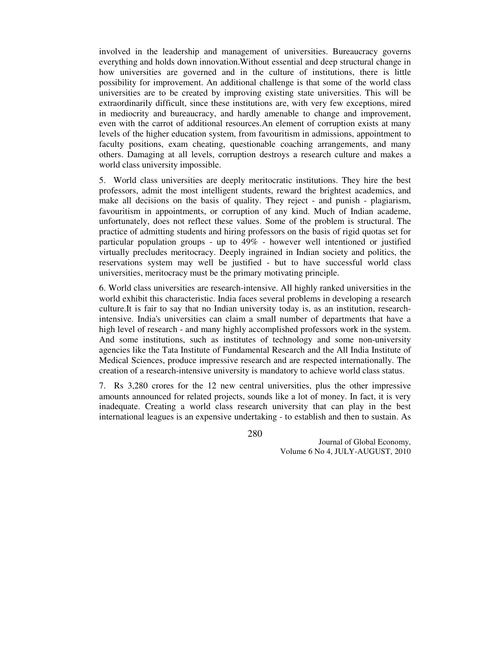involved in the leadership and management of universities. Bureaucracy governs everything and holds down innovation.Without essential and deep structural change in how universities are governed and in the culture of institutions, there is little possibility for improvement. An additional challenge is that some of the world class universities are to be created by improving existing state universities. This will be extraordinarily difficult, since these institutions are, with very few exceptions, mired in mediocrity and bureaucracy, and hardly amenable to change and improvement, even with the carrot of additional resources.An element of corruption exists at many levels of the higher education system, from favouritism in admissions, appointment to faculty positions, exam cheating, questionable coaching arrangements, and many others. Damaging at all levels, corruption destroys a research culture and makes a world class university impossible.

5. World class universities are deeply meritocratic institutions. They hire the best professors, admit the most intelligent students, reward the brightest academics, and make all decisions on the basis of quality. They reject - and punish - plagiarism, favouritism in appointments, or corruption of any kind. Much of Indian academe, unfortunately, does not reflect these values. Some of the problem is structural. The practice of admitting students and hiring professors on the basis of rigid quotas set for particular population groups - up to 49% - however well intentioned or justified virtually precludes meritocracy. Deeply ingrained in Indian society and politics, the reservations system may well be justified - but to have successful world class universities, meritocracy must be the primary motivating principle.

6. World class universities are research-intensive. All highly ranked universities in the world exhibit this characteristic. India faces several problems in developing a research culture.It is fair to say that no Indian university today is, as an institution, researchintensive. India's universities can claim a small number of departments that have a high level of research - and many highly accomplished professors work in the system. And some institutions, such as institutes of technology and some non-university agencies like the Tata Institute of Fundamental Research and the All India Institute of Medical Sciences, produce impressive research and are respected internationally. The creation of a research-intensive university is mandatory to achieve world class status.

7. Rs 3,280 crores for the 12 new central universities, plus the other impressive amounts announced for related projects, sounds like a lot of money. In fact, it is very inadequate. Creating a world class research university that can play in the best international leagues is an expensive undertaking - to establish and then to sustain. As

280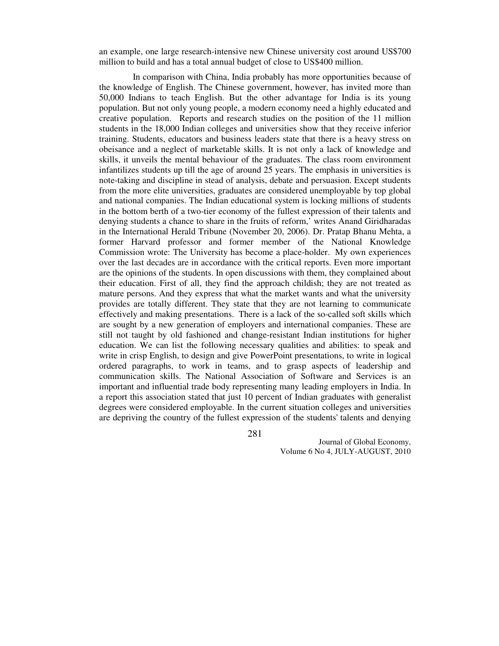an example, one large research-intensive new Chinese university cost around US\$700 million to build and has a total annual budget of close to US\$400 million.

 In comparison with China, India probably has more opportunities because of the knowledge of English. The Chinese government, however, has invited more than 50,000 Indians to teach English. But the other advantage for India is its young population. But not only young people, a modern economy need a highly educated and creative population. Reports and research studies on the position of the 11 million students in the 18,000 Indian colleges and universities show that they receive inferior training. Students, educators and business leaders state that there is a heavy stress on obeisance and a neglect of marketable skills. It is not only a lack of knowledge and skills, it unveils the mental behaviour of the graduates. The class room environment infantilizes students up till the age of around 25 years. The emphasis in universities is note-taking and discipline in stead of analysis, debate and persuasion. Except students from the more elite universities, graduates are considered unemployable by top global and national companies. The Indian educational system is locking millions of students in the bottom berth of a two-tier economy of the fullest expression of their talents and denying students a chance to share in the fruits of reform,' writes Anand Giridharadas in the International Herald Tribune (November 20, 2006). Dr. Pratap Bhanu Mehta, a former Harvard professor and former member of the National Knowledge Commission wrote: The University has become a place-holder. My own experiences over the last decades are in accordance with the critical reports. Even more important are the opinions of the students. In open discussions with them, they complained about their education. First of all, they find the approach childish; they are not treated as mature persons. And they express that what the market wants and what the university provides are totally different. They state that they are not learning to communicate effectively and making presentations. There is a lack of the so-called soft skills which are sought by a new generation of employers and international companies. These are still not taught by old fashioned and change-resistant Indian institutions for higher education. We can list the following necessary qualities and abilities: to speak and write in crisp English, to design and give PowerPoint presentations, to write in logical ordered paragraphs, to work in teams, and to grasp aspects of leadership and communication skills. The National Association of Software and Services is an important and influential trade body representing many leading employers in India. In a report this association stated that just 10 percent of Indian graduates with generalist degrees were considered employable. In the current situation colleges and universities are depriving the country of the fullest expression of the students' talents and denying

281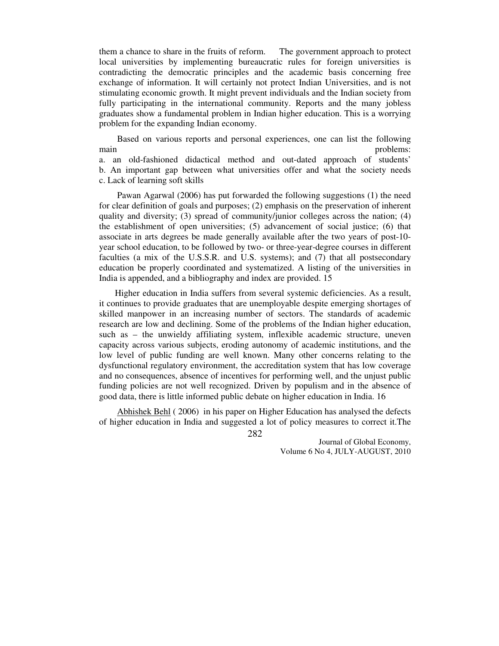them a chance to share in the fruits of reform. The government approach to protect local universities by implementing bureaucratic rules for foreign universities is contradicting the democratic principles and the academic basis concerning free exchange of information. It will certainly not protect Indian Universities, and is not stimulating economic growth. It might prevent individuals and the Indian society from fully participating in the international community. Reports and the many jobless graduates show a fundamental problem in Indian higher education. This is a worrying problem for the expanding Indian economy.

 Based on various reports and personal experiences, one can list the following main problems: a. an old-fashioned didactical method and out-dated approach of students' b. An important gap between what universities offer and what the society needs c. Lack of learning soft skills

 Pawan Agarwal (2006) has put forwarded the following suggestions (1) the need for clear definition of goals and purposes; (2) emphasis on the preservation of inherent quality and diversity; (3) spread of community/junior colleges across the nation; (4) the establishment of open universities; (5) advancement of social justice; (6) that associate in arts degrees be made generally available after the two years of post-10 year school education, to be followed by two- or three-year-degree courses in different faculties (a mix of the U.S.S.R. and U.S. systems); and (7) that all postsecondary education be properly coordinated and systematized. A listing of the universities in India is appended, and a bibliography and index are provided. 15

 Higher education in India suffers from several systemic deficiencies. As a result, it continues to provide graduates that are unemployable despite emerging shortages of skilled manpower in an increasing number of sectors. The standards of academic research are low and declining. Some of the problems of the Indian higher education, such as – the unwieldy affiliating system, inflexible academic structure, uneven capacity across various subjects, eroding autonomy of academic institutions, and the low level of public funding are well known. Many other concerns relating to the dysfunctional regulatory environment, the accreditation system that has low coverage and no consequences, absence of incentives for performing well, and the unjust public funding policies are not well recognized. Driven by populism and in the absence of good data, there is little informed public debate on higher education in India. 16

 Abhishek Behl ( 2006) in his paper on Higher Education has analysed the defects of higher education in India and suggested a lot of policy measures to correct it.The

282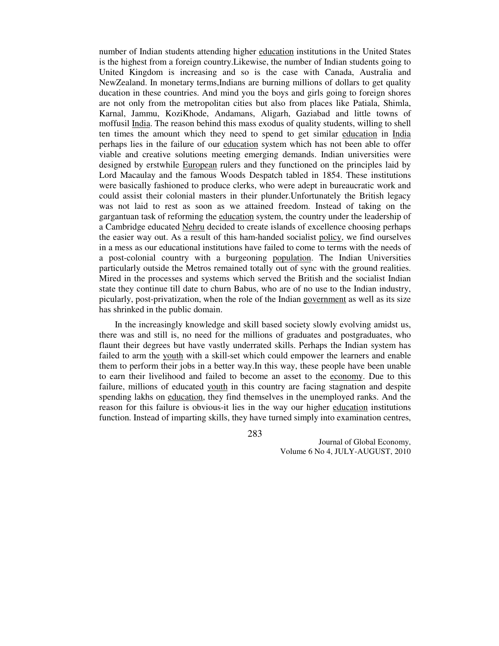number of Indian students attending higher education institutions in the United States is the highest from a foreign country.Likewise, the number of Indian students going to United Kingdom is increasing and so is the case with Canada, Australia and NewZealand. In monetary terms,Indians are burning millions of dollars to get quality ducation in these countries. And mind you the boys and girls going to foreign shores are not only from the metropolitan cities but also from places like Patiala, Shimla, Karnal, Jammu, KoziKhode, Andamans, Aligarh, Gaziabad and little towns of moffusil India. The reason behind this mass exodus of quality students, willing to shell ten times the amount which they need to spend to get similar education in India perhaps lies in the failure of our education system which has not been able to offer viable and creative solutions meeting emerging demands. Indian universities were designed by erstwhile European rulers and they functioned on the principles laid by Lord Macaulay and the famous Woods Despatch tabled in 1854. These institutions were basically fashioned to produce clerks, who were adept in bureaucratic work and could assist their colonial masters in their plunder.Unfortunately the British legacy was not laid to rest as soon as we attained freedom. Instead of taking on the gargantuan task of reforming the education system, the country under the leadership of a Cambridge educated Nehru decided to create islands of excellence choosing perhaps the easier way out. As a result of this ham-handed socialist policy, we find ourselves in a mess as our educational institutions have failed to come to terms with the needs of a post-colonial country with a burgeoning population. The Indian Universities particularly outside the Metros remained totally out of sync with the ground realities. Mired in the processes and systems which served the British and the socialist Indian state they continue till date to churn Babus, who are of no use to the Indian industry, picularly, post-privatization, when the role of the Indian government as well as its size has shrinked in the public domain.

 In the increasingly knowledge and skill based society slowly evolving amidst us, there was and still is, no need for the millions of graduates and postgraduates, who flaunt their degrees but have vastly underrated skills. Perhaps the Indian system has failed to arm the youth with a skill-set which could empower the learners and enable them to perform their jobs in a better way.In this way, these people have been unable to earn their livelihood and failed to become an asset to the economy. Due to this failure, millions of educated youth in this country are facing stagnation and despite spending lakhs on education, they find themselves in the unemployed ranks. And the reason for this failure is obvious-it lies in the way our higher education institutions function. Instead of imparting skills, they have turned simply into examination centres,

283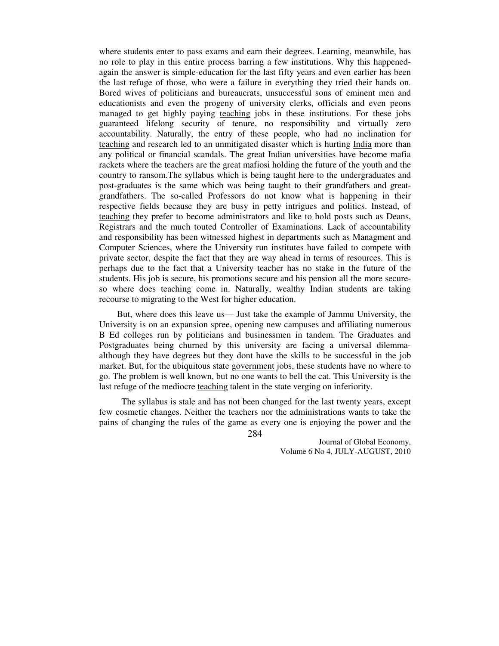where students enter to pass exams and earn their degrees. Learning, meanwhile, has no role to play in this entire process barring a few institutions. Why this happenedagain the answer is simple-education for the last fifty years and even earlier has been the last refuge of those, who were a failure in everything they tried their hands on. Bored wives of politicians and bureaucrats, unsuccessful sons of eminent men and educationists and even the progeny of university clerks, officials and even peons managed to get highly paying teaching jobs in these institutions. For these jobs guaranteed lifelong security of tenure, no responsibility and virtually zero accountability. Naturally, the entry of these people, who had no inclination for teaching and research led to an unmitigated disaster which is hurting India more than any political or financial scandals. The great Indian universities have become mafia rackets where the teachers are the great mafiosi holding the future of the youth and the country to ransom.The syllabus which is being taught here to the undergraduates and post-graduates is the same which was being taught to their grandfathers and greatgrandfathers. The so-called Professors do not know what is happening in their respective fields because they are busy in petty intrigues and politics. Instead, of teaching they prefer to become administrators and like to hold posts such as Deans, Registrars and the much touted Controller of Examinations. Lack of accountability and responsibility has been witnessed highest in departments such as Managment and Computer Sciences, where the University run institutes have failed to compete with private sector, despite the fact that they are way ahead in terms of resources. This is perhaps due to the fact that a University teacher has no stake in the future of the students. His job is secure, his promotions secure and his pension all the more secureso where does teaching come in. Naturally, wealthy Indian students are taking recourse to migrating to the West for higher education.

 But, where does this leave us— Just take the example of Jammu University, the University is on an expansion spree, opening new campuses and affiliating numerous B Ed colleges run by politicians and businessmen in tandem. The Graduates and Postgraduates being churned by this university are facing a universal dilemmaalthough they have degrees but they dont have the skills to be successful in the job market. But, for the ubiquitous state government jobs, these students have no where to go. The problem is well known, but no one wants to bell the cat. This University is the last refuge of the mediocre teaching talent in the state verging on inferiority.

 The syllabus is stale and has not been changed for the last twenty years, except few cosmetic changes. Neither the teachers nor the administrations wants to take the pains of changing the rules of the game as every one is enjoying the power and the

284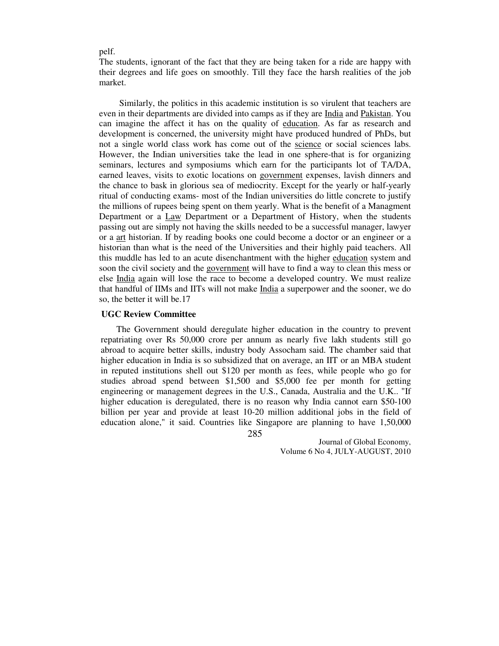pelf.

The students, ignorant of the fact that they are being taken for a ride are happy with their degrees and life goes on smoothly. Till they face the harsh realities of the job market.

 Similarly, the politics in this academic institution is so virulent that teachers are even in their departments are divided into camps as if they are India and Pakistan. You can imagine the affect it has on the quality of education. As far as research and development is concerned, the university might have produced hundred of PhDs, but not a single world class work has come out of the science or social sciences labs. However, the Indian universities take the lead in one sphere-that is for organizing seminars, lectures and symposiums which earn for the participants lot of TA/DA, earned leaves, visits to exotic locations on government expenses, lavish dinners and the chance to bask in glorious sea of mediocrity. Except for the yearly or half-yearly ritual of conducting exams- most of the Indian universities do little concrete to justify the millions of rupees being spent on them yearly. What is the benefit of a Managment Department or a Law Department or a Department of History, when the students passing out are simply not having the skills needed to be a successful manager, lawyer or a art historian. If by reading books one could become a doctor or an engineer or a historian than what is the need of the Universities and their highly paid teachers. All this muddle has led to an acute disenchantment with the higher education system and soon the civil society and the government will have to find a way to clean this mess or else India again will lose the race to become a developed country. We must realize that handful of IIMs and IITs will not make India a superpower and the sooner, we do so, the better it will be.17

#### **UGC Review Committee**

285 The Government should deregulate higher education in the country to prevent repatriating over Rs 50,000 crore per annum as nearly five lakh students still go abroad to acquire better skills, industry body Assocham said. The chamber said that higher education in India is so subsidized that on average, an IIT or an MBA student in reputed institutions shell out \$120 per month as fees, while people who go for studies abroad spend between \$1,500 and \$5,000 fee per month for getting engineering or management degrees in the U.S., Canada, Australia and the U.K.. "If higher education is deregulated, there is no reason why India cannot earn \$50-100 billion per year and provide at least 10-20 million additional jobs in the field of education alone," it said. Countries like Singapore are planning to have 1,50,000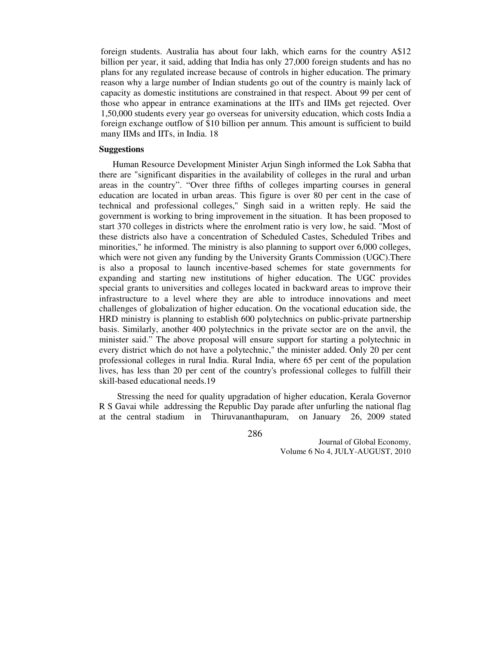foreign students. Australia has about four lakh, which earns for the country A\$12 billion per year, it said, adding that India has only 27,000 foreign students and has no plans for any regulated increase because of controls in higher education. The primary reason why a large number of Indian students go out of the country is mainly lack of capacity as domestic institutions are constrained in that respect. About 99 per cent of those who appear in entrance examinations at the IITs and IIMs get rejected. Over 1,50,000 students every year go overseas for university education, which costs India a foreign exchange outflow of \$10 billion per annum. This amount is sufficient to build many IIMs and IITs, in India. 18

#### **Suggestions**

 Human Resource Development Minister Arjun Singh informed the Lok Sabha that there are "significant disparities in the availability of colleges in the rural and urban areas in the country". "Over three fifths of colleges imparting courses in general education are located in urban areas. This figure is over 80 per cent in the case of technical and professional colleges," Singh said in a written reply. He said the government is working to bring improvement in the situation. It has been proposed to start 370 colleges in districts where the enrolment ratio is very low, he said. "Most of these districts also have a concentration of Scheduled Castes, Scheduled Tribes and minorities," he informed. The ministry is also planning to support over 6,000 colleges, which were not given any funding by the University Grants Commission (UGC). There is also a proposal to launch incentive-based schemes for state governments for expanding and starting new institutions of higher education. The UGC provides special grants to universities and colleges located in backward areas to improve their infrastructure to a level where they are able to introduce innovations and meet challenges of globalization of higher education. On the vocational education side, the HRD ministry is planning to establish 600 polytechnics on public-private partnership basis. Similarly, another 400 polytechnics in the private sector are on the anvil, the minister said." The above proposal will ensure support for starting a polytechnic in every district which do not have a polytechnic," the minister added. Only 20 per cent professional colleges in rural India. Rural India, where 65 per cent of the population lives, has less than 20 per cent of the country's professional colleges to fulfill their skill-based educational needs.19

 Stressing the need for quality upgradation of higher education, Kerala Governor R S Gavai while addressing the Republic Day parade after unfurling the national flag at the central stadium in Thiruvananthapuram, on January 26, 2009 stated

286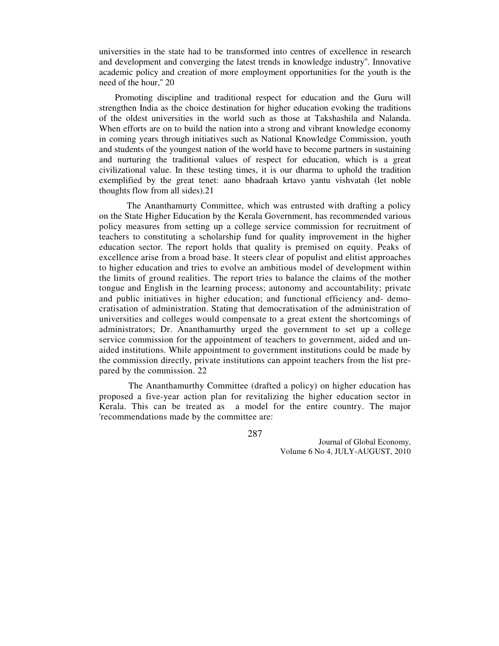universities in the state had to be transformed into centres of excellence in research and development and converging the latest trends in knowledge industry''. Innovative academic policy and creation of more employment opportunities for the youth is the need of the hour,'' 20

 Promoting discipline and traditional respect for education and the Guru will strengthen India as the choice destination for higher education evoking the traditions of the oldest universities in the world such as those at Takshashila and Nalanda. When efforts are on to build the nation into a strong and vibrant knowledge economy in coming years through initiatives such as National Knowledge Commission, youth and students of the youngest nation of the world have to become partners in sustaining and nurturing the traditional values of respect for education, which is a great civilizational value. In these testing times, it is our dharma to uphold the tradition exemplified by the great tenet: aano bhadraah krtavo yantu vishvatah (let noble thoughts flow from all sides).21

The Ananthamurty Committee, which was entrusted with drafting a policy on the State Higher Education by the Kerala Government, has recommended various policy measures from setting up a college service commission for recruitment of teachers to constituting a scholarship fund for quality improvement in the higher education sector. The report holds that quality is premised on equity. Peaks of excellence arise from a broad base. It steers clear of populist and elitist approaches to higher education and tries to evolve an ambitious model of development within the limits of ground realities. The report tries to balance the claims of the mother tongue and English in the learning process; autonomy and accountability; private and public initiatives in higher education; and functional efficiency and- democratisation of administration. Stating that democratisation of the administration of universities and colleges would compensate to a great extent the shortcomings of administrators; Dr. Ananthamurthy urged the government to set up a college service commission for the appointment of teachers to government, aided and unaided institutions. While appointment to government institutions could be made by the commission directly, private institutions can appoint teachers from the list prepared by the commission. 22

 The Ananthamurthy Committee (drafted a policy) on higher education has proposed a five-year action plan for revitalizing the higher education sector in Kerala. This can be treated as a model for the entire country. The major 'recommendations made by the committee are:

287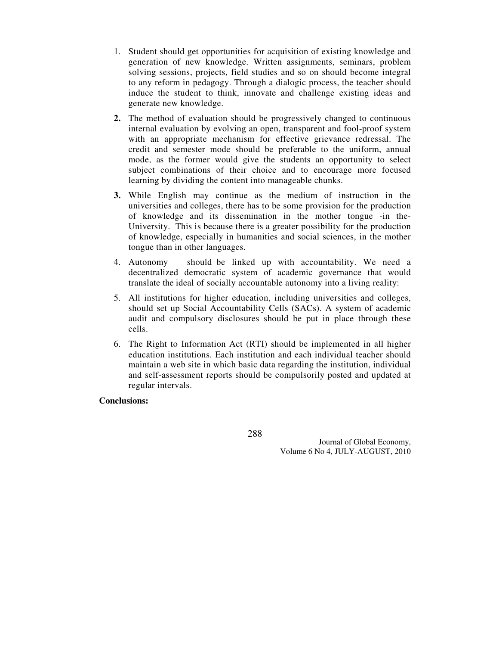- 1. Student should get opportunities for acquisition of existing knowledge and generation of new knowledge. Written assignments, seminars, problem solving sessions, projects, field studies and so on should become integral to any reform in pedagogy. Through a dialogic process, the teacher should induce the student to think, innovate and challenge existing ideas and generate new knowledge.
- **2.** The method of evaluation should be progressively changed to continuous internal evaluation by evolving an open, transparent and fool-proof system with an appropriate mechanism for effective grievance redressal. The credit and semester mode should be preferable to the uniform, annual mode, as the former would give the students an opportunity to select subject combinations of their choice and to encourage more focused learning by dividing the content into manageable chunks.
- **3.** While English may continue as the medium of instruction in the universities and colleges, there has to be some provision for the production of knowledge and its dissemination in the mother tongue -in the-University. This is because there is a greater possibility for the production of knowledge, especially in humanities and social sciences, in the mother tongue than in other languages.
- 4. Autonomy should be linked up with accountability. We need a decentralized democratic system of academic governance that would translate the ideal of socially accountable autonomy into a living reality:
- 5. All institutions for higher education, including universities and colleges, should set up Social Accountability Cells (SACs). A system of academic audit and compulsory disclosures should be put in place through these cells.
- 6. The Right to Information Act (RTI) should be implemented in all higher education institutions. Each institution and each individual teacher should maintain a web site in which basic data regarding the institution, individual and self-assessment reports should be compulsorily posted and updated at regular intervals.

# **Conclusions:**

288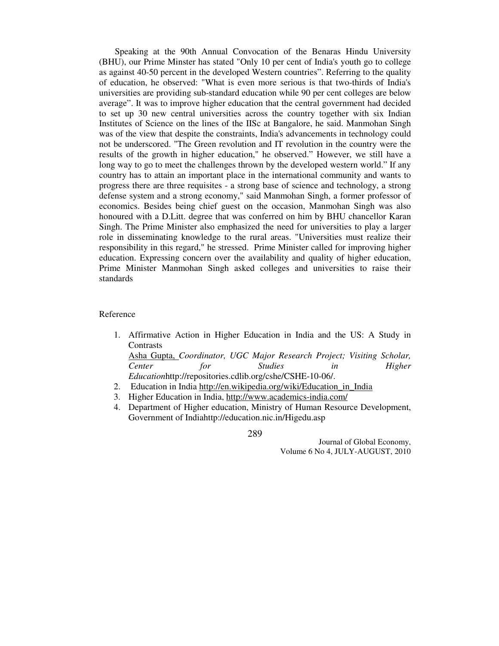Speaking at the 90th Annual Convocation of the Benaras Hindu University (BHU), our Prime Minster has stated "Only 10 per cent of India's youth go to college as against 40-50 percent in the developed Western countries". Referring to the quality of education, he observed: "What is even more serious is that two-thirds of India's universities are providing sub-standard education while 90 per cent colleges are below average". It was to improve higher education that the central government had decided to set up 30 new central universities across the country together with six Indian Institutes of Science on the lines of the IISc at Bangalore, he said. Manmohan Singh was of the view that despite the constraints, India's advancements in technology could not be underscored. "The Green revolution and IT revolution in the country were the results of the growth in higher education," he observed." However, we still have a long way to go to meet the challenges thrown by the developed western world." If any country has to attain an important place in the international community and wants to progress there are three requisites - a strong base of science and technology, a strong defense system and a strong economy," said Manmohan Singh, a former professor of economics. Besides being chief guest on the occasion, Manmohan Singh was also honoured with a D.Litt. degree that was conferred on him by BHU chancellor Karan Singh. The Prime Minister also emphasized the need for universities to play a larger role in disseminating knowledge to the rural areas. "Universities must realize their responsibility in this regard," he stressed. Prime Minister called for improving higher education. Expressing concern over the availability and quality of higher education, Prime Minister Manmohan Singh asked colleges and universities to raise their standards

#### Reference

- 1. Affirmative Action in Higher Education in India and the US: A Study in **Contrasts** Asha Gupta, *Coordinator, UGC Major Research Project; Visiting Scholar, Center for Studies in Higher*
- *Education*http://repositories.cdlib.org/cshe/CSHE-10-06/.
- 2. Education in India http://en.wikipedia.org/wiki/Education\_in\_India
- 3. Higher Education in India, http://www.academics-india.com/
- 4. Department of Higher education, Ministry of Human Resource Development, Government of Indiahttp://education.nic.in/Higedu.asp

289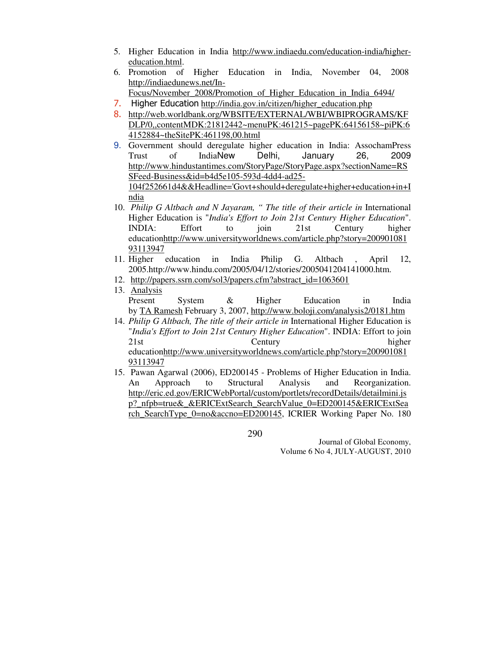- 5. Higher Education in India http://www.indiaedu.com/education-india/highereducation.html.
- 6. Promotion of Higher Education in India, November 04, 2008 http://indiaedunews.net/In-
	- Focus/November\_2008/Promotion\_of\_Higher\_Education\_in\_India\_6494/
- 7. Higher Education http://india.gov.in/citizen/higher\_education.php
- 8. http://web.worldbank.org/WBSITE/EXTERNAL/WBI/WBIPROGRAMS/KF DLP/0,,contentMDK:21812442~menuPK:461215~pagePK:64156158~piPK:6 4152884~theSitePK:461198,00.html
- 9. Government should deregulate higher education in India: AssochamPress Trust of IndiaNew Delhi, January 26, 2009 http://www.hindustantimes.com/StoryPage/StoryPage.aspx?sectionName=RS SFeed-Business&id=b4d5e105-593d-4dd4-ad25- 104f252661d4&&Headline='Govt+should+deregulate+higher+education+in+I ndia
- 10. *Philip G Altbach and N Jayaram, " The title of their article in* International Higher Education is "*India's Effort to Join 21st Century Higher Education*". INDIA: Effort to join 21st Century higher educationhttp://www.universityworldnews.com/article.php?story=200901081 93113947
- 11. Higher education in India Philip G. Altbach , April 12, 2005.http://www.hindu.com/2005/04/12/stories/2005041204141000.htm.
- 12. http://papers.ssrn.com/sol3/papers.cfm?abstract\_id=1063601
- 13. Analysis Present System & Higher Education in India by TA Ramesh February 3, 2007, http://www.boloji.com/analysis2/0181.htm
- 14. *Philip G Altbach, The title of their article in* International Higher Education is "*India's Effort to Join 21st Century Higher Education*". INDIA: Effort to join 21st Century higher educationhttp://www.universityworldnews.com/article.php?story=200901081 93113947
- 15. Pawan Agarwal (2006), ED200145 Problems of Higher Education in India. An Approach to Structural Analysis and Reorganization. http://eric.ed.gov/ERICWebPortal/custom/portlets/recordDetails/detailmini.js p? nfpb=true& &ERICExtSearch\_SearchValue\_0=ED200145&ERICExtSea rch\_SearchType\_0=no&accno=ED200145, ICRIER Working Paper No. 180

290